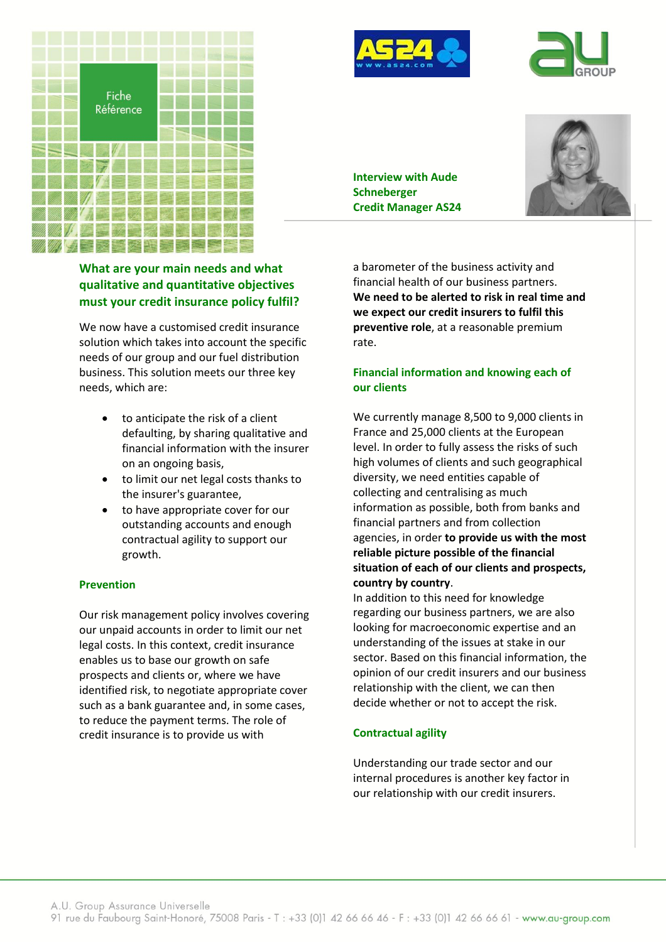





**Interview with Aude Schneberger Credit Manager AS24**



# **What are your main needs and what qualitative and quantitative objectives must your credit insurance policy fulfil?**

We now have a customised credit insurance solution which takes into account the specific needs of our group and our fuel distribution business. This solution meets our three key needs, which are:

- to anticipate the risk of a client defaulting, by sharing qualitative and financial information with the insurer on an ongoing basis,
- to limit our net legal costs thanks to the insurer's guarantee,
- to have appropriate cover for our outstanding accounts and enough contractual agility to support our growth.

#### **Prevention**

Our risk management policy involves covering our unpaid accounts in order to limit our net legal costs. In this context, credit insurance enables us to base our growth on safe prospects and clients or, where we have identified risk, to negotiate appropriate cover such as a bank guarantee and, in some cases, to reduce the payment terms. The role of credit insurance is to provide us with

a barometer of the business activity and financial health of our business partners. **We need to be alerted to risk in real time and we expect our credit insurers to fulfil this preventive role**, at a reasonable premium rate.

### **Financial information and knowing each of our clients**

We currently manage 8,500 to 9,000 clients in France and 25,000 clients at the European level. In order to fully assess the risks of such high volumes of clients and such geographical diversity, we need entities capable of collecting and centralising as much information as possible, both from banks and financial partners and from collection agencies, in order **to provide us with the most reliable picture possible of the financial situation of each of our clients and prospects, country by country**.

In addition to this need for knowledge regarding our business partners, we are also looking for macroeconomic expertise and an understanding of the issues at stake in our sector. Based on this financial information, the opinion of our credit insurers and our business relationship with the client, we can then decide whether or not to accept the risk.

# **Contractual agility**

Understanding our trade sector and our internal procedures is another key factor in our relationship with our credit insurers.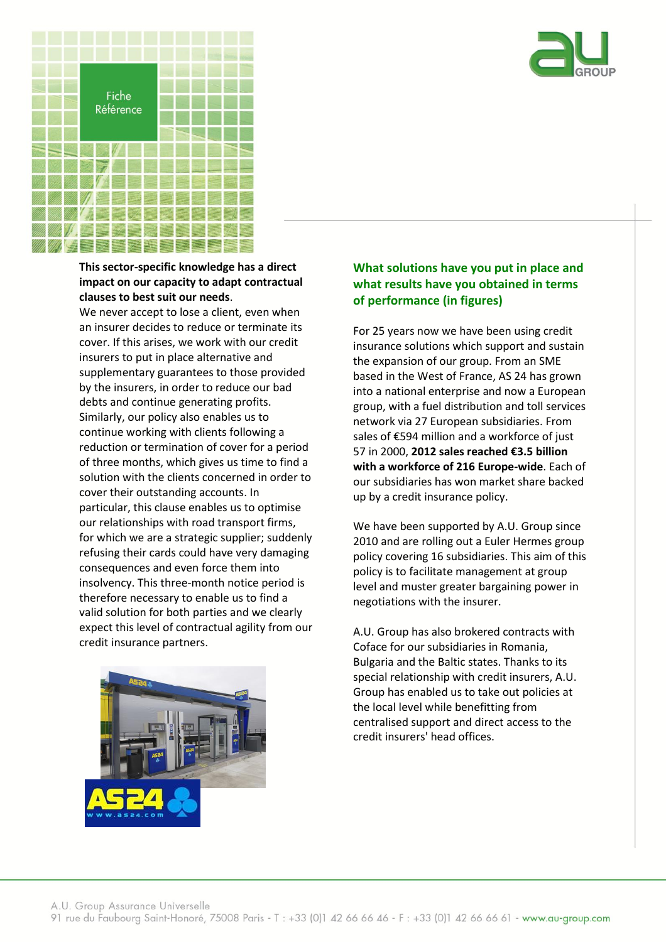



### **This sector-specific knowledge has a direct impact on our capacity to adapt contractual clauses to best suit our needs**.

We never accept to lose a client, even when an insurer decides to reduce or terminate its cover. If this arises, we work with our credit insurers to put in place alternative and supplementary guarantees to those provided by the insurers, in order to reduce our bad debts and continue generating profits. Similarly, our policy also enables us to continue working with clients following a reduction or termination of cover for a period of three months, which gives us time to find a solution with the clients concerned in order to cover their outstanding accounts. In particular, this clause enables us to optimise our relationships with road transport firms, for which we are a strategic supplier; suddenly refusing their cards could have very damaging consequences and even force them into insolvency. This three-month notice period is therefore necessary to enable us to find a valid solution for both parties and we clearly expect this level of contractual agility from our credit insurance partners.



# **What solutions have you put in place and what results have you obtained in terms of performance (in figures)**

For 25 years now we have been using credit insurance solutions which support and sustain the expansion of our group. From an SME based in the West of France, AS 24 has grown into a national enterprise and now a European group, with a fuel distribution and toll services network via 27 European subsidiaries. From sales of €594 million and a workforce of just 57 in 2000, **2012 sales reached €3.5 billion with a workforce of 216 Europe-wide**. Each of our subsidiaries has won market share backed up by a credit insurance policy.

We have been supported by A.U. Group since 2010 and are rolling out a Euler Hermes group policy covering 16 subsidiaries. This aim of this policy is to facilitate management at group level and muster greater bargaining power in negotiations with the insurer.

A.U. Group has also brokered contracts with Coface for our subsidiaries in Romania, Bulgaria and the Baltic states. Thanks to its special relationship with credit insurers, A.U. Group has enabled us to take out policies at the local level while benefitting from centralised support and direct access to the credit insurers' head offices.